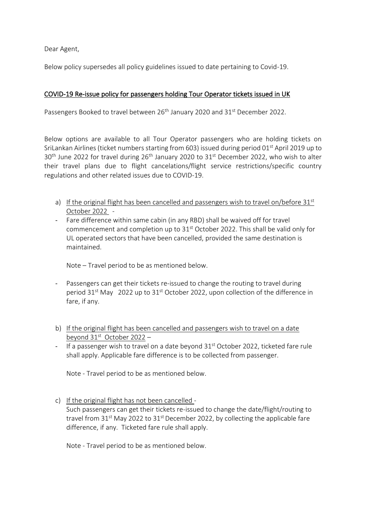Dear Agent,

Below policy supersedes all policy guidelines issued to date pertaining to Covid-19.

## COVID-19 Re-issue policy for passengers holding Tour Operator tickets issued in UK

Passengers Booked to travel between 26<sup>th</sup> January 2020 and 31<sup>st</sup> December 2022.

Below options are available to all Tour Operator passengers who are holding tickets on SriLankan Airlines (ticket numbers starting from 603) issued during period  $01^{st}$  April 2019 up to  $30<sup>th</sup>$  June 2022 for travel during 26<sup>th</sup> January 2020 to 31<sup>st</sup> December 2022, who wish to alter their travel plans due to flight cancelations/flight service restrictions/specific country regulations and other related issues due to COVID-19.

- a) If the original flight has been cancelled and passengers wish to travel on/before  $31<sup>st</sup>$ October 2022 -
- Fare difference within same cabin (in any RBD) shall be waived off for travel commencement and completion up to  $31<sup>st</sup>$  October 2022. This shall be valid only for UL operated sectors that have been cancelled, provided the same destination is maintained.

Note – Travel period to be as mentioned below.

- Passengers can get their tickets re-issued to change the routing to travel during period  $31^{st}$  May 2022 up to  $31^{st}$  October 2022, upon collection of the difference in fare, if any.
- b) If the original flight has been cancelled and passengers wish to travel on a date beyond 31st October 2022 –
- If a passenger wish to travel on a date beyond 31<sup>st</sup> October 2022, ticketed fare rule shall apply. Applicable fare difference is to be collected from passenger.

Note - Travel period to be as mentioned below.

c) If the original flight has not been cancelled -Such passengers can get their tickets re-issued to change the date/flight/routing to travel from  $31<sup>st</sup>$  May 2022 to  $31<sup>st</sup>$  December 2022, by collecting the applicable fare difference, if any. Ticketed fare rule shall apply.

Note - Travel period to be as mentioned below.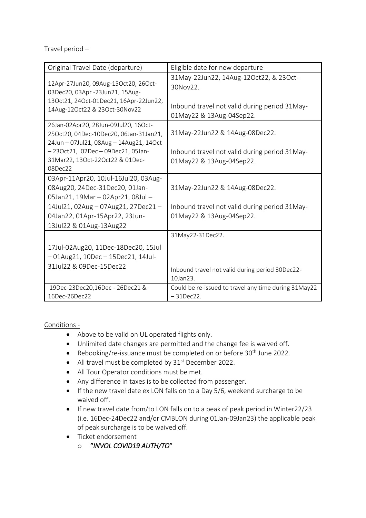Travel period –

| Original Travel Date (departure)                                                                                                      | Eligible date for new departure                                           |
|---------------------------------------------------------------------------------------------------------------------------------------|---------------------------------------------------------------------------|
| 12Apr-27Jun20, 09Aug-15Oct20, 26Oct-<br>03Dec20, 03Apr -23Jun21, 15Aug-                                                               | 31May-22Jun22, 14Aug-12Oct22, & 23Oct-<br>30Nov22.                        |
| 13Oct21, 24Oct-01Dec21, 16Apr-22Jun22,<br>14Aug-12Oct22 & 23Oct-30Nov22                                                               | Inbound travel not valid during period 31May-<br>01May22 & 13Aug-04Sep22. |
| 26Jan-02Apr20, 28Jun-09Jul20, 16Oct-<br>25Oct20, 04Dec-10Dec20, 06Jan-31Jan21,<br>24Jun - 07Jul21, 08Aug - 14Aug21, 14Oct             | 31May-22Jun22 & 14Aug-08Dec22.                                            |
| -23Oct21, 02Dec-09Dec21, 05Jan-<br>31Mar22, 13Oct-22Oct22 & 01Dec-<br>$08$ Dec $22$                                                   | Inbound travel not valid during period 31May-<br>01May22 & 13Aug-04Sep22. |
| 03Apr-11Apr20, 10Jul-16Jul20, 03Aug-                                                                                                  |                                                                           |
| 08Aug20, 24Dec-31Dec20, 01Jan-                                                                                                        | 31May-22Jun22 & 14Aug-08Dec22.                                            |
| 05Jan21, 19Mar - 02Apr21, 08Jul -<br>14Jul21, 02Aug - 07Aug21, 27Dec21 -<br>04Jan22, 01Apr-15Apr22, 23Jun-<br>13Jul22 & 01Aug-13Aug22 | Inbound travel not valid during period 31May-<br>01May22 & 13Aug-04Sep22. |
|                                                                                                                                       | 31May22-31Dec22.                                                          |
| 17Jul-02Aug20, 11Dec-18Dec20, 15Jul<br>$-01$ Aug21, 10Dec $-15$ Dec21, 14Jul-<br>31Jul22 & 09Dec-15Dec22                              |                                                                           |
|                                                                                                                                       | Inbound travel not valid during period 30Dec22-<br>10Jan23.               |
| 19Dec-23Dec20,16Dec - 26Dec21 &<br>16Dec-26Dec22                                                                                      | Could be re-issued to travel any time during 31May22<br>$-31$ Dec22.      |
|                                                                                                                                       |                                                                           |

Conditions -

- Above to be valid on UL operated flights only.
- Unlimited date changes are permitted and the change fee is waived off.
- Rebooking/re-issuance must be completed on or before  $30<sup>th</sup>$  June 2022.
- All travel must be completed by 31<sup>st</sup> December 2022.
- All Tour Operator conditions must be met.
- Any difference in taxes is to be collected from passenger.
- If the new travel date ex LON falls on to a Day 5/6, weekend surcharge to be waived off.
- If new travel date from/to LON falls on to a peak of peak period in Winter22/23 (i.e. 16Dec-24Dec22 and/or CMBLON during 01Jan-09Jan23) the applicable peak of peak surcharge is to be waived off.
- Ticket endorsement
	- o "*INVOL COVID19 AUTH/TO*"